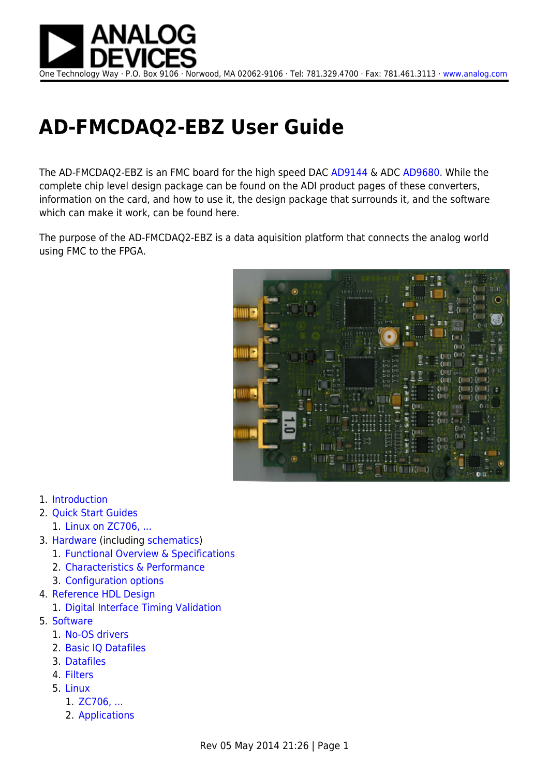

## **AD-FMCDAQ2-EBZ User Guide**

The AD-FMCDAQ2-EBZ is an FMC board for the high speed DAC [AD9144](http://www.analog.com/AD9144) & ADC [AD9680.](http://www.analog.com/AD9680) While the complete chip level design package can be found on the ADI product pages of these converters, information on the card, and how to use it, the design package that surrounds it, and the software which can make it work, can be found here.

The purpose of the AD-FMCDAQ2-EBZ is a data aquisition platform that connects the analog world using FMC to the FPGA.



- 1. [Introduction](http://wiki.analog.com/resources/eval/user-guides/ad-fmcdaq2-ebz/introduction)
- 2. [Quick Start Guides](http://wiki.analog.com/resources/eval/user-guides/ad-fmcdaq2-ebz/quickstart)
	- 1. [Linux on ZC706, ...](http://wiki.analog.com/resources/eval/user-guides/ad-fmcdaq2-ebz/quickstart/zynq)
- 3. [Hardware](http://wiki.analog.com/resources/eval/user-guides/ad-fmcdaq2-ebz/hardware) (including [schematics\)](http://wiki.analog.com/resources/eval/user-guides/ad-fmcdaq2-ebz/hardware#downloads)
	- 1. [Functional Overview & Specifications](http://wiki.analog.com/resources/eval/user-guides/ad-fmcdaq2-ebz/hardware/functional_overview)
	- 2. [Characteristics & Performance](http://wiki.analog.com/resources/eval/user-guides/ad-fmcdaq2-ebz/hardware/card_specification)
	- 3. [Configuration options](http://wiki.analog.com/resources/eval/user-guides/ad-fmcdaq2-ebz/hardware/configuration_options)
- 4. [Reference HDL Design](http://wiki.analog.com/resources/eval/user-guides/ad-fmcdaq2-ebz/reference_hdl)
	- 1. [Digital Interface Timing Validation](http://wiki.analog.com/resources/eval/user-guides/ad-fmcdaq2-ebz/interface_timing_validation)
- 5. [Software](http://wiki.analog.com/resources/eval/user-guides/ad-fmcdaq2-ebz/software)
	- 1. [No-OS drivers](http://wiki.analog.com/resources/eval/user-guides/ad-fmcdaq2-ebz/software/baremetal)
	- 2. [Basic IQ Datafiles](http://wiki.analog.com/resources/eval/user-guides/ad-fmcdaq2-ebz/software/basic_iq_datafiles)
	- 3. [Datafiles](http://wiki.analog.com/resources/eval/user-guides/ad-fmcdaq2-ebz/software/datafiles)
	- 4. [Filters](http://wiki.analog.com/resources/eval/user-guides/ad-fmcdaq2-ebz/software/filters)
	- 5. [Linux](http://wiki.analog.com/resources/eval/user-guides/ad-fmcdaq2-ebz/software/linux)
		- 1. [ZC706, ...](http://wiki.analog.com/resources/eval/user-guides/ad-fmcdaq2-ebz/software/linux/zynq)
		- 2. [Applications](http://wiki.analog.com/resources/eval/user-guides/ad-fmcdaq2-ebz/software/linux/applications)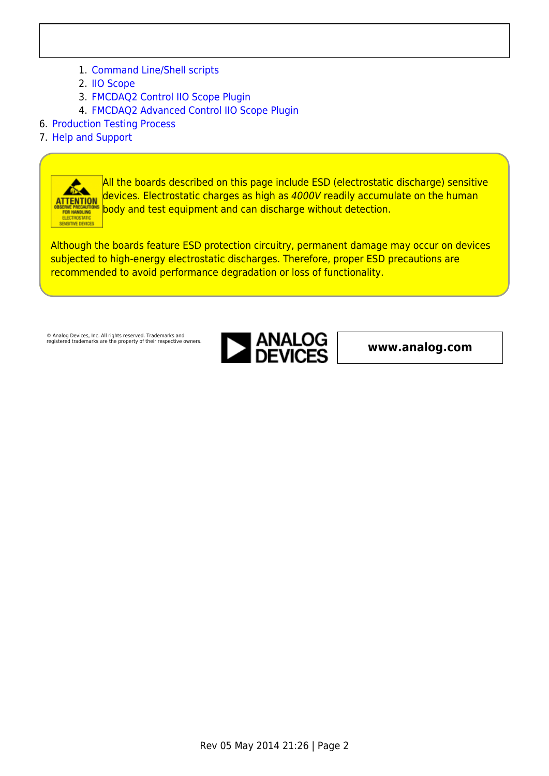- 1. [Command Line/Shell scripts](http://wiki.analog.com/resources/eval/user-guides/ad-fmcdaq2-ebz/software/linux/applications/shell_scripts)
- 2. [IIO Scope](http://wiki.analog.com/resources/tools-software/linux-software/iio_oscilloscope)
- 3. [FMCDAQ2 Control IIO Scope Plugin](http://wiki.analog.com/resources/tools-software/linux-software/fmcdaq2_plugin)
- 4. [FMCDAQ2 Advanced Control IIO Scope Plugin](http://wiki.analog.com/resources/tools-software/linux-software/fmcdaq2_advanced_plugin)
- 6. [Production Testing Process](http://wiki.analog.com/resources/eval/user-guides/ad-fmcdaq2-ebz/testing)
- 7. [Help and Support](http://wiki.analog.com/resources/eval/user-guides/ad-fmcdaq2-ebz/help_and_support)



All the boards described on this page include ESD (electrostatic discharge) sensitive devices. Electrostatic charges as high as 4000V readily accumulate on the human body and test equipment and can discharge without detection.

Although the boards feature ESD protection circuitry, permanent damage may occur on devices subjected to high-energy electrostatic discharges. Therefore, proper ESD precautions are recommended to avoid performance degradation or loss of functionality.

© Analog Devices, Inc. All rights reserved. Trademarks and